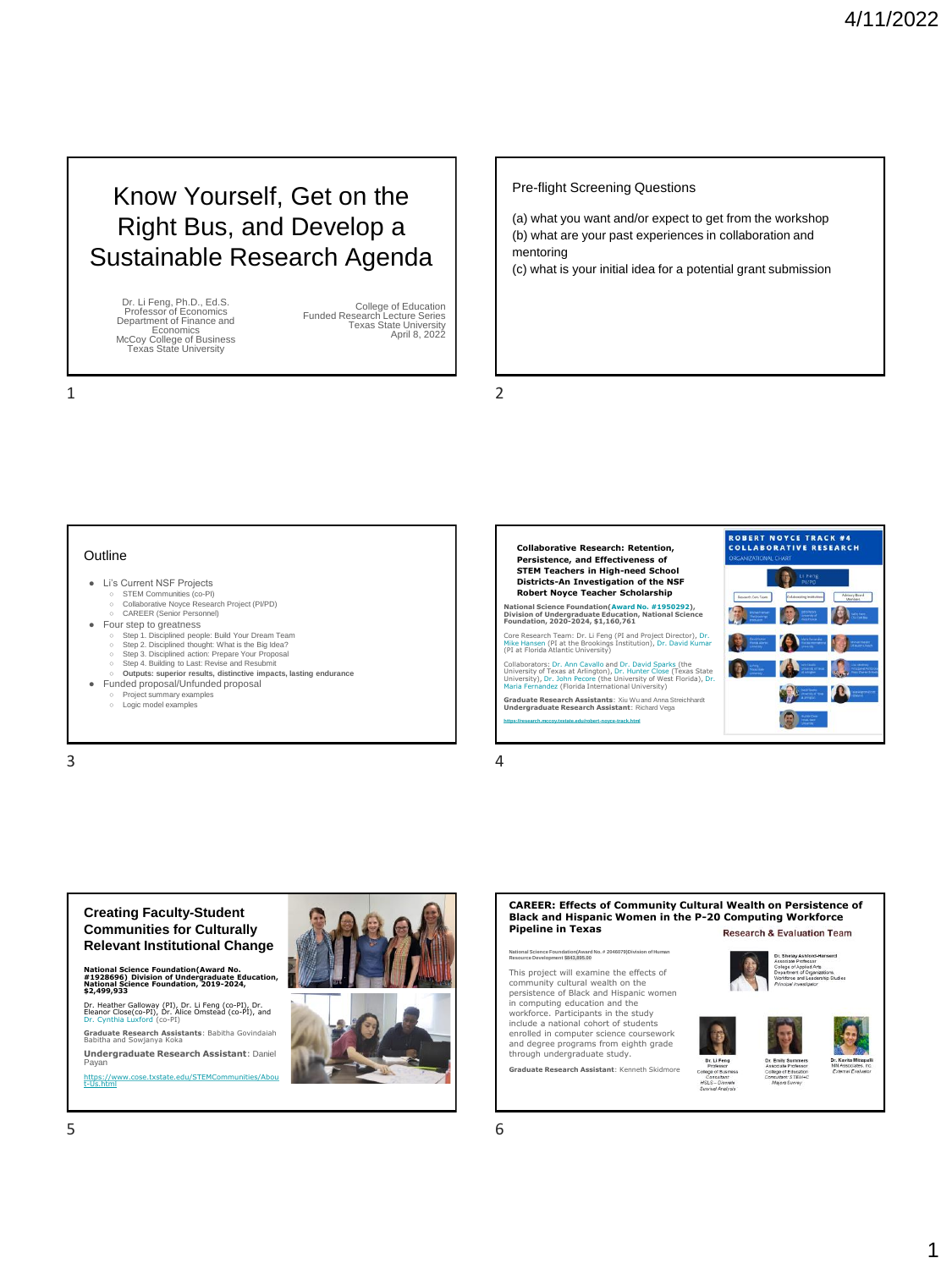# Know Yourself, Get on the Right Bus, and Develop a Sustainable Research Agenda

Dr. Li Feng, Ph.D., Ed.S. Professor of Economics Department of Finance and Economics McCoy College of Business Texas State University

College of Education Funded Research Lecture Series Texas State University April 8, 2022

Pre-flight Screening Questions

(a) what you want and/or expect to get from the workshop (b) what are your past experiences in collaboration and mentoring

(c) what is your initial idea for a potential grant submission

1 2

#### **Outline**

- Li's Current NSF Projects
- STEM Communities (co-PI)<br>○ Collaborative Noyce Research Project (PI/PD)<br>○ CAREER (Senior Personnel)
- Four step to greatness
	- Step 1. Disciplined people: Build Your Dream Team<br>○ Step 2. Disciplined thought: What is the Big Idea?
	-
	-
	- Step 3. Disciplined action: Prepare Your Proposal<br>○ Step 4. Building to Last: Revise and Resubmit<br>○ **Outputs: superior results, distinctive impacts, lasting endurance**
- Funded proposal/Unfunded proposal
	- Project summary examples ○ Logic model examples

 $3 \t 4$ 





**Relevant Institutional Change National Science Foundation(Award No. #1928696) Division of Undergraduate Education, National Science Foundation, 2019-2024, \$2,499,933**

**Creating Faculty-Student Communities for Culturally** 

[Dr. Heather Galloway](https://faculty.txstate.edu/profile/1928767) (PI), Dr. Li Feng (co-PI), Dr. [Eleanor Close\(co-PI\), Dr. Alice Omstead](https://txstper.wp.txstate.edu/) (co-PI), and [Dr. Cynthia Luxford](https://luxford.wp.txstate.edu/) (co-PI)

**Graduate Research Assistants**: Babitha Govindaiah Babitha and Sowjanya Koka

**Undergraduate Research Assistant**: Daniel Payan

[https://www.cose.txstate.edu/STEMCommunities/Abou](https://www.cose.txstate.edu/STEMCommunities/About-Us.html) t-Us.html



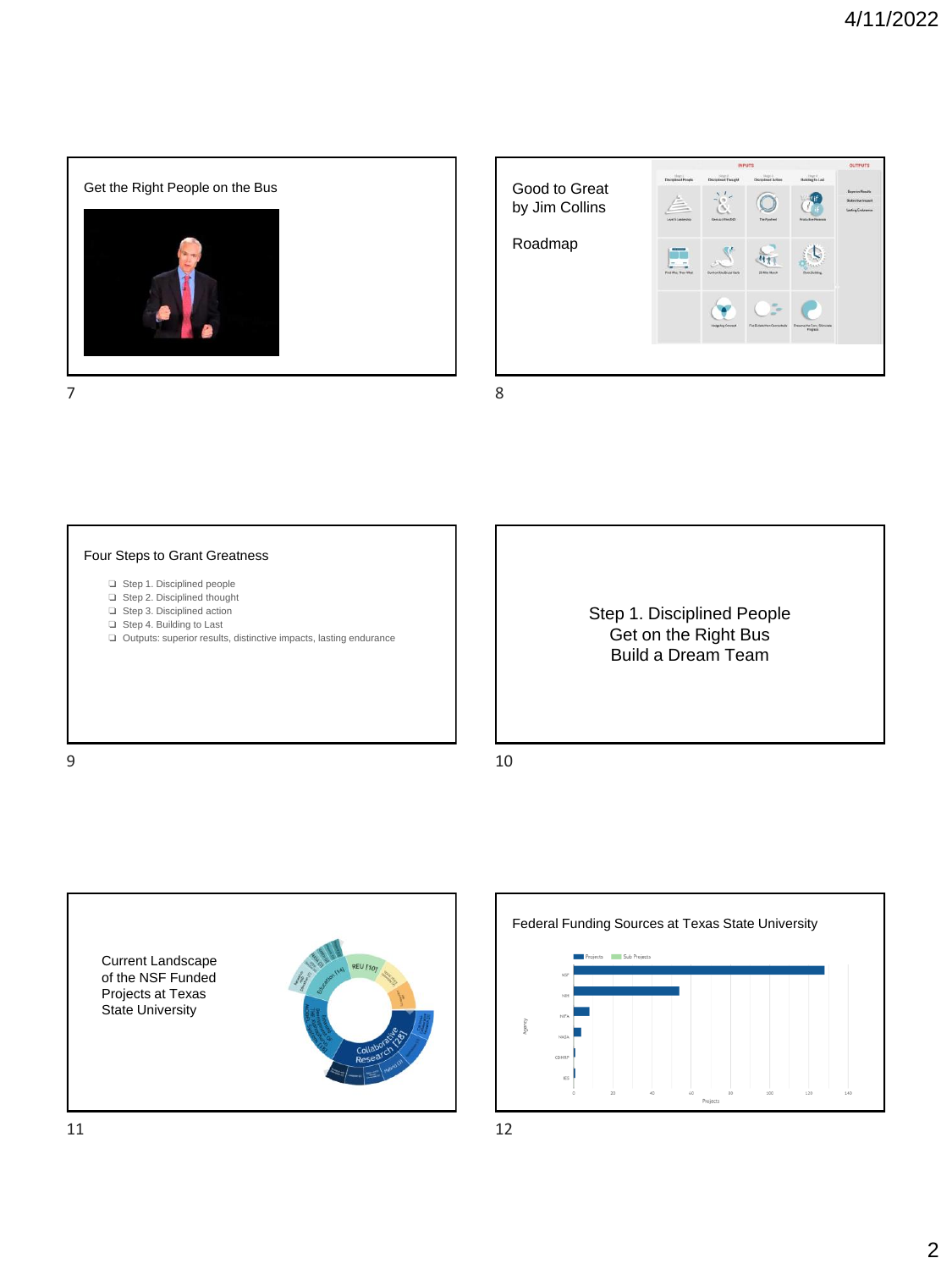



### Four Steps to Grant Greatness

- ❏ Step 1. Disciplined people
- ❏ Step 2. Disciplined thought
- ❏ Step 3. Disciplined action
- ❏ Step 4. Building to Last
- ❏ Outputs: superior results, distinctive impacts, lasting endurance

Step 1. Disciplined People Get on the Right Bus Build a Dream Team

9 10



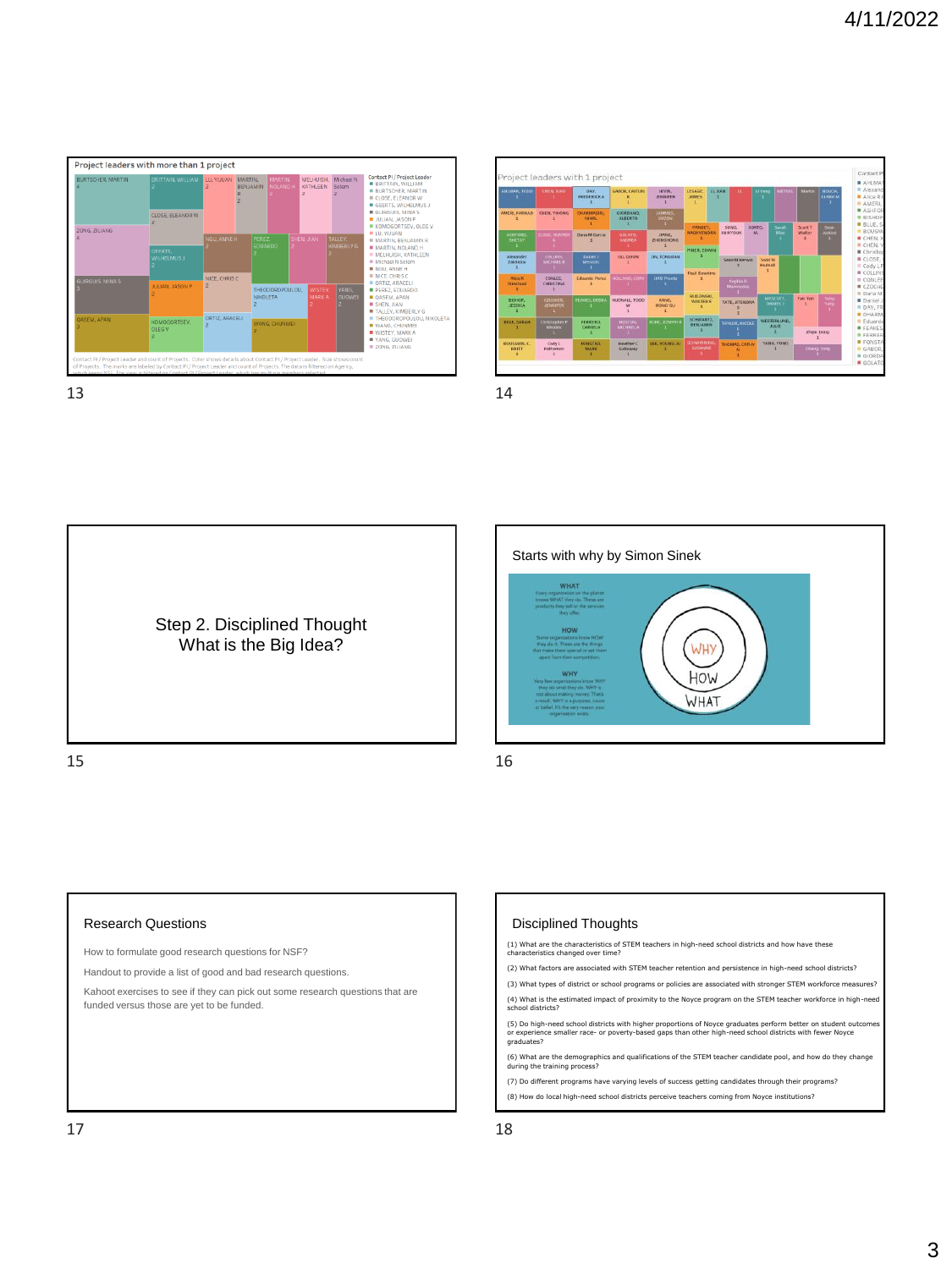| BURTSCHER, MARTIN<br>ZONG, ZILIANG | BRITTAIN, WILLIAM             | LU, YIJUAN<br>$\overline{z}$ | MARTIN.<br>BENJAMIN | MARTIN.<br><b>NOLAND</b>           | $\overline{z}$ | MELHUISH.<br>KATHLEEN         | Michael N<br>Solem     | Contact PI / Project Leader<br><b>BRITTAIN, WILLIAM</b><br><b>BURTSCHER, MARTIN</b><br>CLOSE, ELEANOR W<br>GEERTS, WILHELMUS J<br>GUIRGUIS, MINAS<br><b>ULIAN, JASON P</b><br>KOMOGORTSEV, OLEG V      |
|------------------------------------|-------------------------------|------------------------------|---------------------|------------------------------------|----------------|-------------------------------|------------------------|--------------------------------------------------------------------------------------------------------------------------------------------------------------------------------------------------------|
|                                    | CLOSE, ELEANOR W              |                              |                     |                                    |                |                               |                        |                                                                                                                                                                                                        |
|                                    |                               | <b>NGU, ANNE H</b>           |                     | PEREZ.<br><b>EDUARDO</b>           |                | SHEN: JIAN                    | TALLEY.<br>KIMBERLY G  | <b>ULL YUUAN</b><br><b>III MARTIN, RENJAMIN R</b>                                                                                                                                                      |
|                                    | GEERTS.<br><b>WILHELMUS J</b> |                              |                     |                                    |                |                               |                        | <b>MARTIN, NOLAND H</b><br><b>MELHUISH, KATHLEEN</b><br><b>B</b> Michael N Solem<br><b>B NGU, ANNE H</b>                                                                                               |
| GUIRGUIS, MINA S                   |                               | NICE, CHRIS C                |                     |                                    |                |                               |                        | NICE, CHRIS C<br>ORTIZ, ARACELI<br><b>B PEREZ EDUARDO</b><br>OASEM, APAN<br><b>SHEN, JIAN</b><br>TALLEY, KIMBERLY G<br><b>THEODOROPOULOU, NIKOLETA</b><br><b>WANG, CHUNMEL</b><br><b>WISTEY, MARKA</b> |
|                                    | JULIAN, JASON P               | $\overline{z}$               |                     | THEODOROPOULOU.<br><b>NIKOLETA</b> |                | <b>WISTEY</b><br><b>MARKA</b> | YANG,<br><b>GUOWEI</b> |                                                                                                                                                                                                        |
| <b>OASEM, APAN</b>                 | KOMOGORTSEV.<br>OLEG V        | ORTIZ, ARACELI               | WANG, CHUNMEI       |                                    |                |                               |                        |                                                                                                                                                                                                        |
|                                    |                               |                              |                     |                                    |                |                               |                        | YANG, GUOWEI<br>ZONG, ZILIANG                                                                                                                                                                          |



Step 2. Disciplined Thought What is the Big Idea?

 $15$  16



# Research Questions

How to formulate good research questions for NSF?

Handout to provide a list of good and bad research questions.

Kahoot exercises to see if they can pick out some research questions that are funded versus those are yet to be funded.

#### Disciplined Thoughts

(1) What are the characteristics of STEM teachers in high-need school districts and how have these characteristics changed over time?

(2) What factors are associated with STEM teacher retention and persistence in high-need school districts?

(3) What types of district or school programs or policies are associated with stronger STEM workforce measures? (4) What is the estimated impact of proximity to the Noyce program on the STEM teacher workforce in high-need

school districts?

(5) Do high-need school districts with higher proportions of Noyce graduates perform better on student outcomes<br>or experience smaller race- or poverty-based gaps than other high-need school districts with fewer Noyce<br>qradu

(6) What are the demographics and qualifications of the STEM teacher candidate pool, and how do they change during the training process?

(7) Do different programs have varying levels of success getting candidates through their programs? (8) How do local high-need school districts perceive teachers coming from Noyce institutions?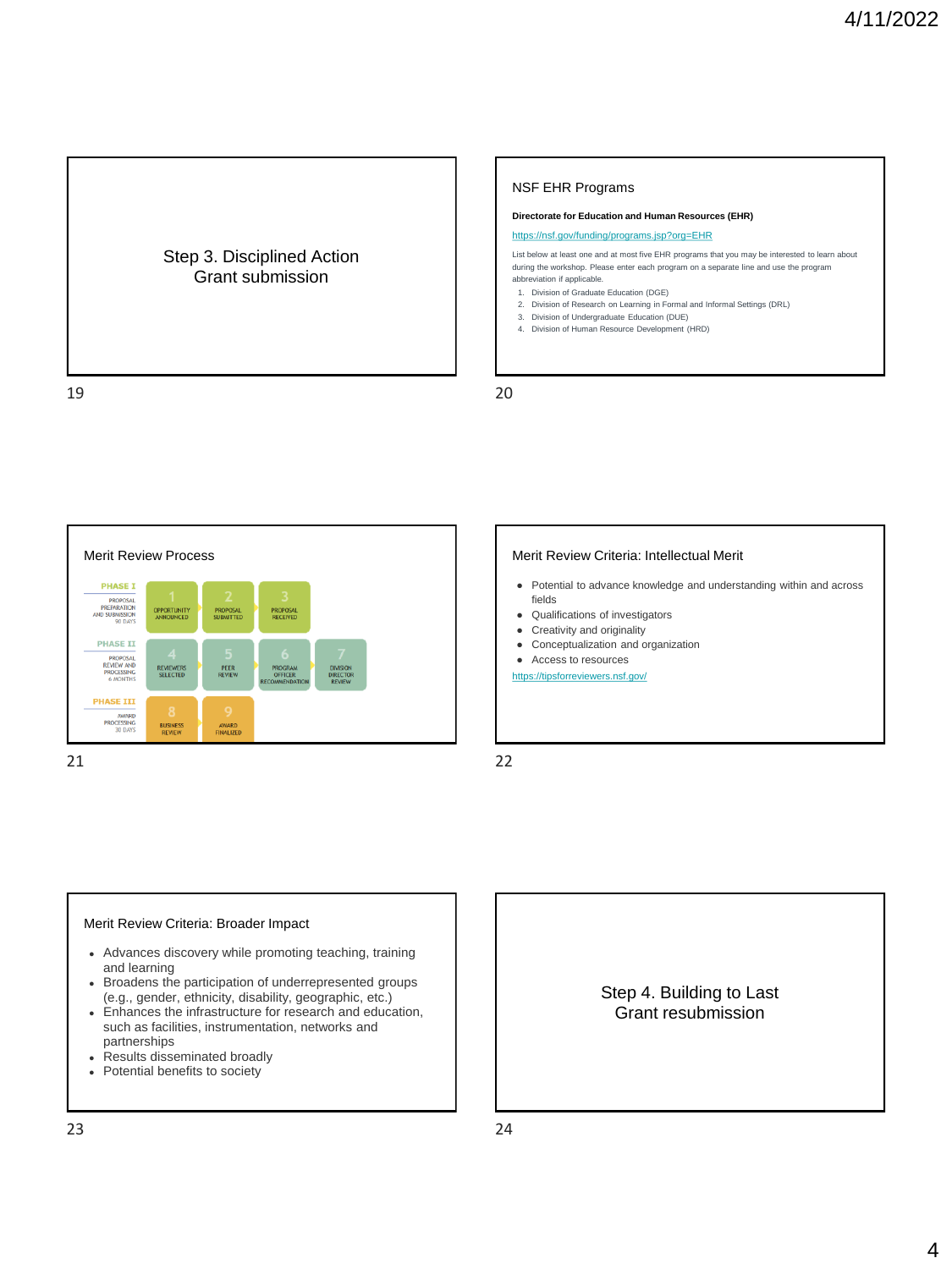

### NSF EHR Programs

#### **Directorate for Education and Human Resources (EHR)**

#### <https://nsf.gov/funding/programs.jsp?org=EHR>

List below at least one and at most five EHR programs that you may be interested to learn about during the workshop. Please enter each program on a separate line and use the program abbreviation if applicable.

- 1. Division of Graduate Education (DGE)
- 2. Division of Research on Learning in Formal and Informal Settings (DRL)
- 3. Division of Undergraduate Education (DUE)
- 4. Division of Human Resource Development (HRD)

19 20



- Potential to advance knowledge and understanding within and across fields
- Qualifications of investigators
- Creativity and originality
- Conceptualization and organization
- Access to resources
- <https://tipsforreviewers.nsf.gov/>

21 22

## Merit Review Criteria: Broader Impact

- Advances discovery while promoting teaching, training and learning
- Broadens the participation of underrepresented groups (e.g., gender, ethnicity, disability, geographic, etc.)
- Enhances the infrastructure for research and education, such as facilities, instrumentation, networks and partnerships
- Results disseminated broadly
- Potential benefits to society

Step 4. Building to Last Grant resubmission